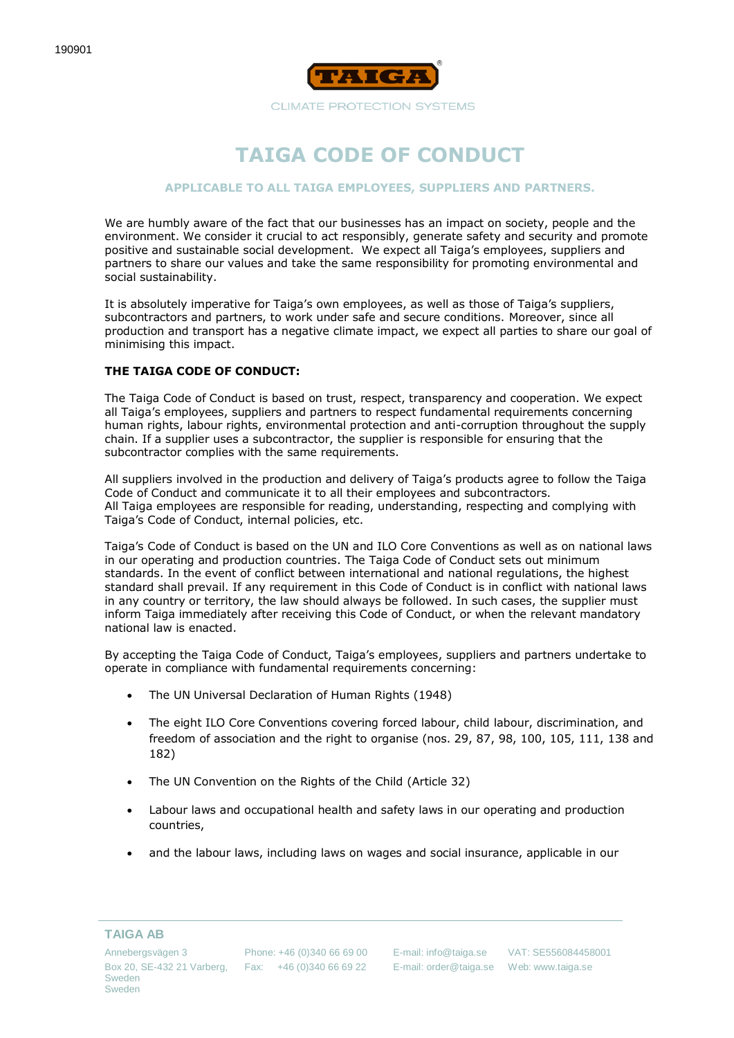

**CLIMATE PROTECTION SYSTEMS** 

# **TAIGA CODE OF CONDUCT**

#### **APPLICABLE TO ALL TAIGA EMPLOYEES, SUPPLIERS AND PARTNERS.**

We are humbly aware of the fact that our businesses has an impact on society, people and the environment. We consider it crucial to act responsibly, generate safety and security and promote positive and sustainable social development. We expect all Taiga's employees, suppliers and partners to share our values and take the same responsibility for promoting environmental and social sustainability.

It is absolutely imperative for Taiga's own employees, as well as those of Taiga's suppliers, subcontractors and partners, to work under safe and secure conditions. Moreover, since all production and transport has a negative climate impact, we expect all parties to share our goal of minimising this impact.

## **THE TAIGA CODE OF CONDUCT:**

The Taiga Code of Conduct is based on trust, respect, transparency and cooperation. We expect all Taiga's employees, suppliers and partners to respect fundamental requirements concerning human rights, labour rights, environmental protection and anti-corruption throughout the supply chain. If a supplier uses a subcontractor, the supplier is responsible for ensuring that the subcontractor complies with the same requirements.

All suppliers involved in the production and delivery of Taiga's products agree to follow the Taiga Code of Conduct and communicate it to all their employees and subcontractors. All Taiga employees are responsible for reading, understanding, respecting and complying with Taiga's Code of Conduct, internal policies, etc.

Taiga's Code of Conduct is based on the UN and ILO Core Conventions as well as on national laws in our operating and production countries. The Taiga Code of Conduct sets out minimum standards. In the event of conflict between international and national regulations, the highest standard shall prevail. If any requirement in this Code of Conduct is in conflict with national laws in any country or territory, the law should always be followed. In such cases, the supplier must inform Taiga immediately after receiving this Code of Conduct, or when the relevant mandatory national law is enacted.

By accepting the Taiga Code of Conduct, Taiga's employees, suppliers and partners undertake to operate in compliance with fundamental requirements concerning:

- The UN Universal Declaration of Human Rights (1948)
- The eight ILO Core Conventions covering forced labour, child labour, discrimination, and freedom of association and the right to organise (nos. 29, 87, 98, 100, 105, 111, 138 and 182)
- The UN Convention on the Rights of the Child (Article 32)
- Labour laws and occupational health and safety laws in our operating and production countries,
- and the labour laws, including laws on wages and social insurance, applicable in our

#### **TAIGA AB**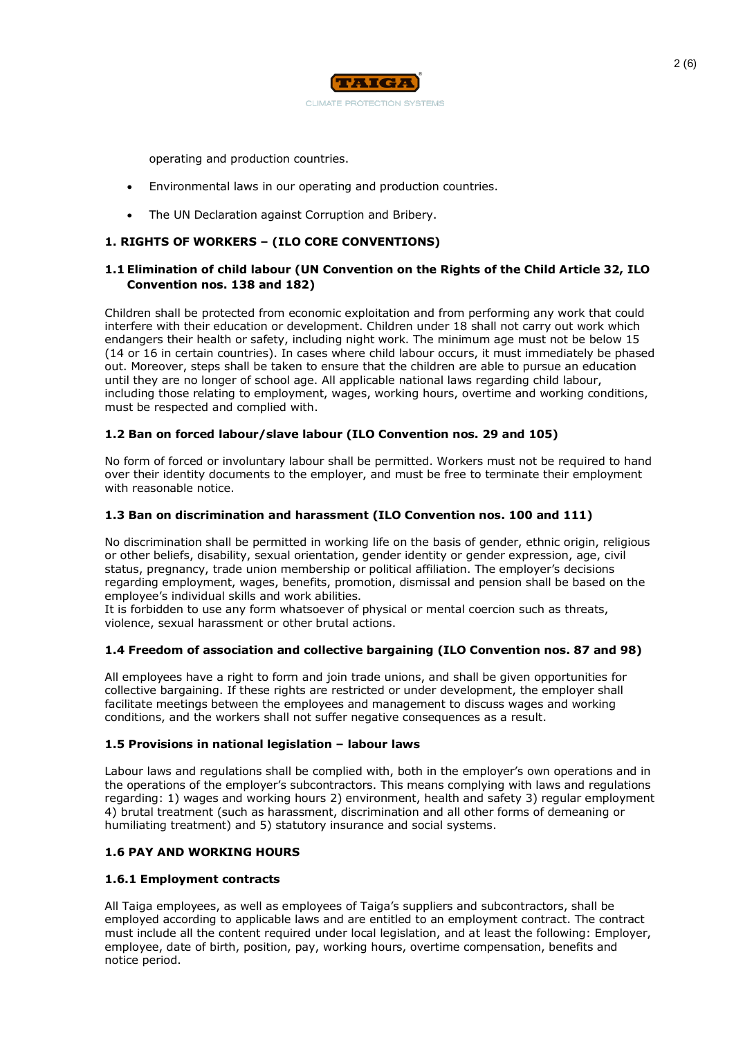

operating and production countries.

- Environmental laws in our operating and production countries.
- The UN Declaration against Corruption and Bribery.

# **1. RIGHTS OF WORKERS – (ILO CORE CONVENTIONS)**

# **1.1 Elimination of child labour (UN Convention on the Rights of the Child Article 32, ILO Convention nos. 138 and 182)**

Children shall be protected from economic exploitation and from performing any work that could interfere with their education or development. Children under 18 shall not carry out work which endangers their health or safety, including night work. The minimum age must not be below 15 (14 or 16 in certain countries). In cases where child labour occurs, it must immediately be phased out. Moreover, steps shall be taken to ensure that the children are able to pursue an education until they are no longer of school age. All applicable national laws regarding child labour, including those relating to employment, wages, working hours, overtime and working conditions, must be respected and complied with.

# **1.2 Ban on forced labour/slave labour (ILO Convention nos. 29 and 105)**

No form of forced or involuntary labour shall be permitted. Workers must not be required to hand over their identity documents to the employer, and must be free to terminate their employment with reasonable notice.

## **1.3 Ban on discrimination and harassment (ILO Convention nos. 100 and 111)**

No discrimination shall be permitted in working life on the basis of gender, ethnic origin, religious or other beliefs, disability, sexual orientation, gender identity or gender expression, age, civil status, pregnancy, trade union membership or political affiliation. The employer's decisions regarding employment, wages, benefits, promotion, dismissal and pension shall be based on the employee's individual skills and work abilities.

It is forbidden to use any form whatsoever of physical or mental coercion such as threats, violence, sexual harassment or other brutal actions.

# **1.4 Freedom of association and collective bargaining (ILO Convention nos. 87 and 98)**

All employees have a right to form and join trade unions, and shall be given opportunities for collective bargaining. If these rights are restricted or under development, the employer shall facilitate meetings between the employees and management to discuss wages and working conditions, and the workers shall not suffer negative consequences as a result.

## **1.5 Provisions in national legislation – labour laws**

Labour laws and regulations shall be complied with, both in the employer's own operations and in the operations of the employer's subcontractors. This means complying with laws and regulations regarding: 1) wages and working hours 2) environment, health and safety 3) regular employment 4) brutal treatment (such as harassment, discrimination and all other forms of demeaning or humiliating treatment) and 5) statutory insurance and social systems.

## **1.6 PAY AND WORKING HOURS**

## **1.6.1 Employment contracts**

All Taiga employees, as well as employees of Taiga's suppliers and subcontractors, shall be employed according to applicable laws and are entitled to an employment contract. The contract must include all the content required under local legislation, and at least the following: Employer, employee, date of birth, position, pay, working hours, overtime compensation, benefits and notice period.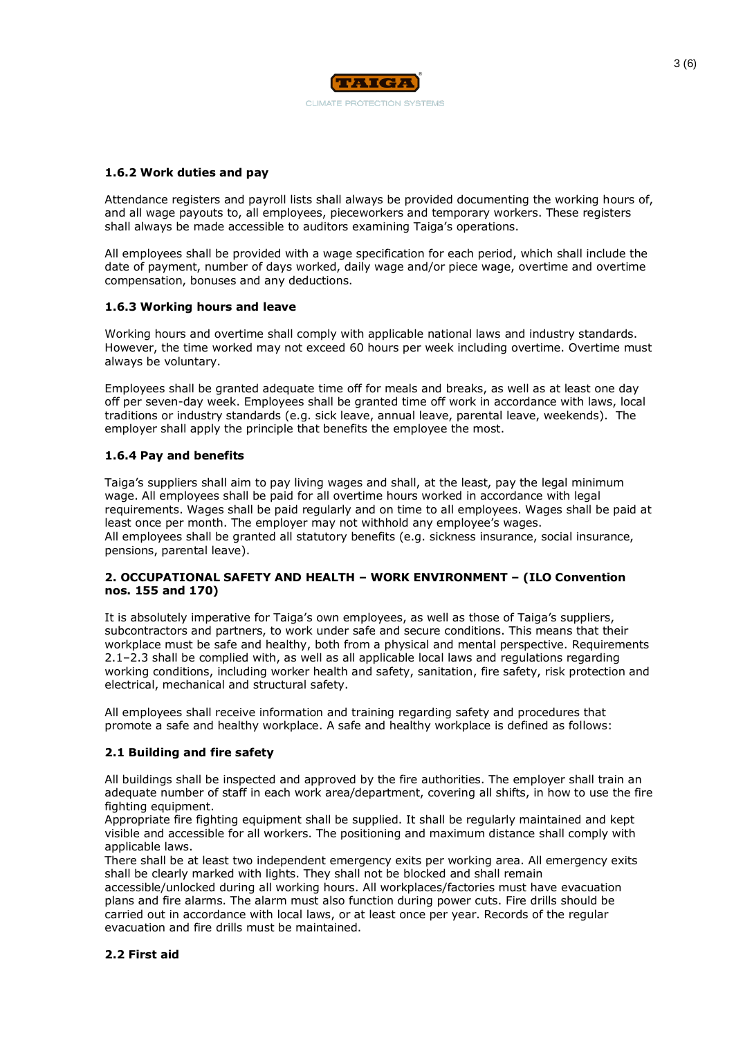

## **1.6.2 Work duties and pay**

Attendance registers and payroll lists shall always be provided documenting the working hours of, and all wage payouts to, all employees, pieceworkers and temporary workers. These registers shall always be made accessible to auditors examining Taiga's operations.

All employees shall be provided with a wage specification for each period, which shall include the date of payment, number of days worked, daily wage and/or piece wage, overtime and overtime compensation, bonuses and any deductions.

## **1.6.3 Working hours and leave**

Working hours and overtime shall comply with applicable national laws and industry standards. However, the time worked may not exceed 60 hours per week including overtime. Overtime must always be voluntary.

Employees shall be granted adequate time off for meals and breaks, as well as at least one day off per seven-day week. Employees shall be granted time off work in accordance with laws, local traditions or industry standards (e.g. sick leave, annual leave, parental leave, weekends). The employer shall apply the principle that benefits the employee the most.

## **1.6.4 Pay and benefits**

Taiga's suppliers shall aim to pay living wages and shall, at the least, pay the legal minimum wage. All employees shall be paid for all overtime hours worked in accordance with legal requirements. Wages shall be paid regularly and on time to all employees. Wages shall be paid at least once per month. The employer may not withhold any employee's wages. All employees shall be granted all statutory benefits (e.g. sickness insurance, social insurance, pensions, parental leave).

## **2. OCCUPATIONAL SAFETY AND HEALTH – WORK ENVIRONMENT – (ILO Convention nos. 155 and 170)**

It is absolutely imperative for Taiga's own employees, as well as those of Taiga's suppliers, subcontractors and partners, to work under safe and secure conditions. This means that their workplace must be safe and healthy, both from a physical and mental perspective. Requirements 2.1–2.3 shall be complied with, as well as all applicable local laws and regulations regarding working conditions, including worker health and safety, sanitation, fire safety, risk protection and electrical, mechanical and structural safety.

All employees shall receive information and training regarding safety and procedures that promote a safe and healthy workplace. A safe and healthy workplace is defined as follows:

## **2.1 Building and fire safety**

All buildings shall be inspected and approved by the fire authorities. The employer shall train an adequate number of staff in each work area/department, covering all shifts, in how to use the fire fighting equipment.

Appropriate fire fighting equipment shall be supplied. It shall be regularly maintained and kept visible and accessible for all workers. The positioning and maximum distance shall comply with applicable laws.

There shall be at least two independent emergency exits per working area. All emergency exits shall be clearly marked with lights. They shall not be blocked and shall remain accessible/unlocked during all working hours. All workplaces/factories must have evacuation plans and fire alarms. The alarm must also function during power cuts. Fire drills should be carried out in accordance with local laws, or at least once per year. Records of the regular evacuation and fire drills must be maintained.

## **2.2 First aid**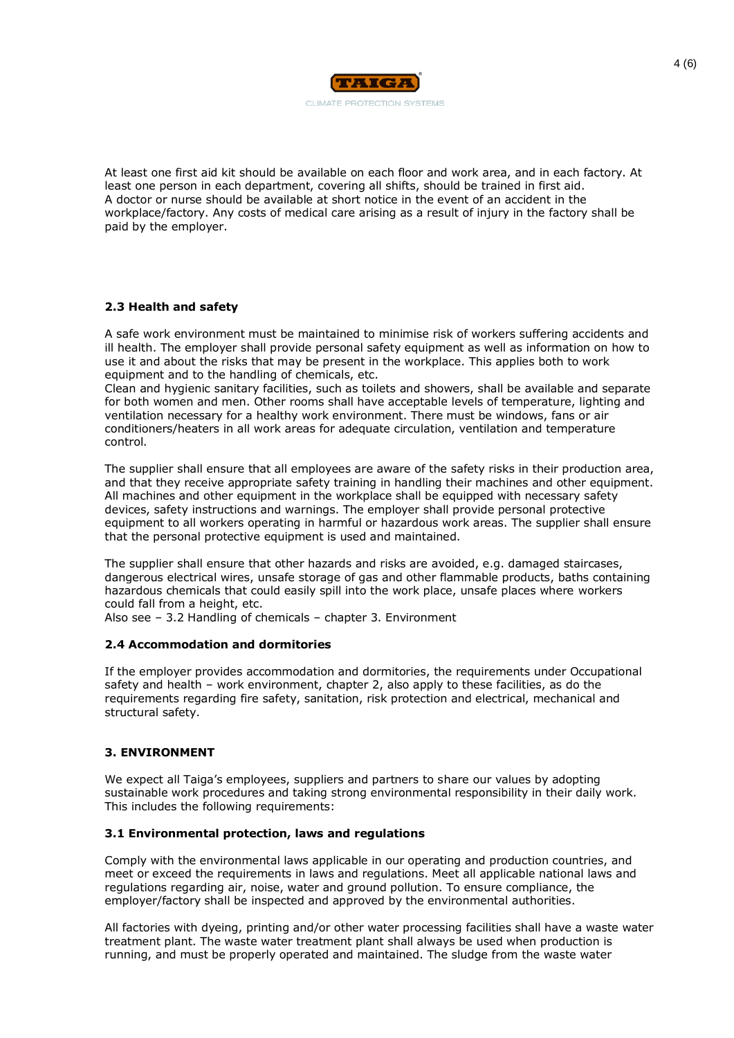

At least one first aid kit should be available on each floor and work area, and in each factory. At least one person in each department, covering all shifts, should be trained in first aid. A doctor or nurse should be available at short notice in the event of an accident in the workplace/factory. Any costs of medical care arising as a result of injury in the factory shall be paid by the employer.

# **2.3 Health and safety**

A safe work environment must be maintained to minimise risk of workers suffering accidents and ill health. The employer shall provide personal safety equipment as well as information on how to use it and about the risks that may be present in the workplace. This applies both to work equipment and to the handling of chemicals, etc.

Clean and hygienic sanitary facilities, such as toilets and showers, shall be available and separate for both women and men. Other rooms shall have acceptable levels of temperature, lighting and ventilation necessary for a healthy work environment. There must be windows, fans or air conditioners/heaters in all work areas for adequate circulation, ventilation and temperature control.

The supplier shall ensure that all employees are aware of the safety risks in their production area, and that they receive appropriate safety training in handling their machines and other equipment. All machines and other equipment in the workplace shall be equipped with necessary safety devices, safety instructions and warnings. The employer shall provide personal protective equipment to all workers operating in harmful or hazardous work areas. The supplier shall ensure that the personal protective equipment is used and maintained.

The supplier shall ensure that other hazards and risks are avoided, e.g. damaged staircases, dangerous electrical wires, unsafe storage of gas and other flammable products, baths containing hazardous chemicals that could easily spill into the work place, unsafe places where workers could fall from a height, etc.

Also see – 3.2 Handling of chemicals – chapter 3. Environment

## **2.4 Accommodation and dormitories**

If the employer provides accommodation and dormitories, the requirements under Occupational safety and health – work environment, chapter 2, also apply to these facilities, as do the requirements regarding fire safety, sanitation, risk protection and electrical, mechanical and structural safety.

## **3. ENVIRONMENT**

We expect all Taiga's employees, suppliers and partners to share our values by adopting sustainable work procedures and taking strong environmental responsibility in their daily work. This includes the following requirements:

## **3.1 Environmental protection, laws and regulations**

Comply with the environmental laws applicable in our operating and production countries, and meet or exceed the requirements in laws and regulations. Meet all applicable national laws and regulations regarding air, noise, water and ground pollution. To ensure compliance, the employer/factory shall be inspected and approved by the environmental authorities.

All factories with dyeing, printing and/or other water processing facilities shall have a waste water treatment plant. The waste water treatment plant shall always be used when production is running, and must be properly operated and maintained. The sludge from the waste water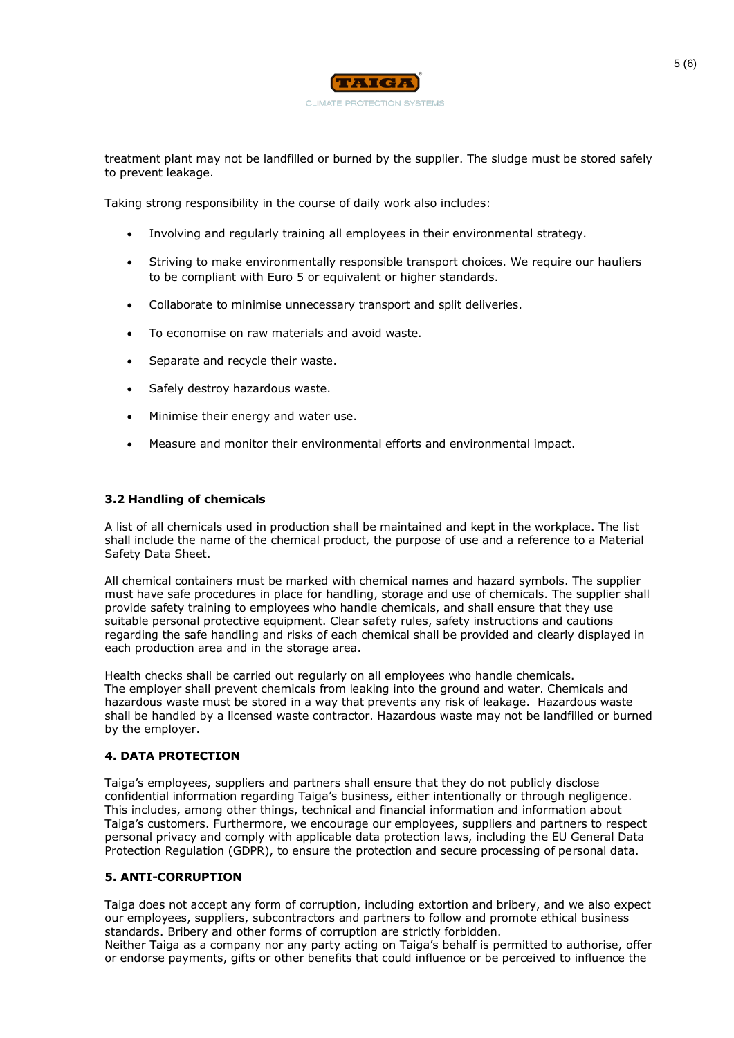

treatment plant may not be landfilled or burned by the supplier. The sludge must be stored safely to prevent leakage.

Taking strong responsibility in the course of daily work also includes:

- Involving and regularly training all employees in their environmental strategy.
- Striving to make environmentally responsible transport choices. We require our hauliers to be compliant with Euro 5 or equivalent or higher standards.
- Collaborate to minimise unnecessary transport and split deliveries.
- To economise on raw materials and avoid waste.
- Separate and recycle their waste.
- Safely destroy hazardous waste.
- Minimise their energy and water use.
- Measure and monitor their environmental efforts and environmental impact.

## **3.2 Handling of chemicals**

A list of all chemicals used in production shall be maintained and kept in the workplace. The list shall include the name of the chemical product, the purpose of use and a reference to a Material Safety Data Sheet.

All chemical containers must be marked with chemical names and hazard symbols. The supplier must have safe procedures in place for handling, storage and use of chemicals. The supplier shall provide safety training to employees who handle chemicals, and shall ensure that they use suitable personal protective equipment. Clear safety rules, safety instructions and cautions regarding the safe handling and risks of each chemical shall be provided and clearly displayed in each production area and in the storage area.

Health checks shall be carried out regularly on all employees who handle chemicals. The employer shall prevent chemicals from leaking into the ground and water. Chemicals and hazardous waste must be stored in a way that prevents any risk of leakage. Hazardous waste shall be handled by a licensed waste contractor. Hazardous waste may not be landfilled or burned by the employer.

## **4. DATA PROTECTION**

Taiga's employees, suppliers and partners shall ensure that they do not publicly disclose confidential information regarding Taiga's business, either intentionally or through negligence. This includes, among other things, technical and financial information and information about Taiga's customers. Furthermore, we encourage our employees, suppliers and partners to respect personal privacy and comply with applicable data protection laws, including the EU General Data Protection Regulation (GDPR), to ensure the protection and secure processing of personal data.

## **5. ANTI-CORRUPTION**

Taiga does not accept any form of corruption, including extortion and bribery, and we also expect our employees, suppliers, subcontractors and partners to follow and promote ethical business standards. Bribery and other forms of corruption are strictly forbidden.

Neither Taiga as a company nor any party acting on Taiga's behalf is permitted to authorise, offer or endorse payments, gifts or other benefits that could influence or be perceived to influence the